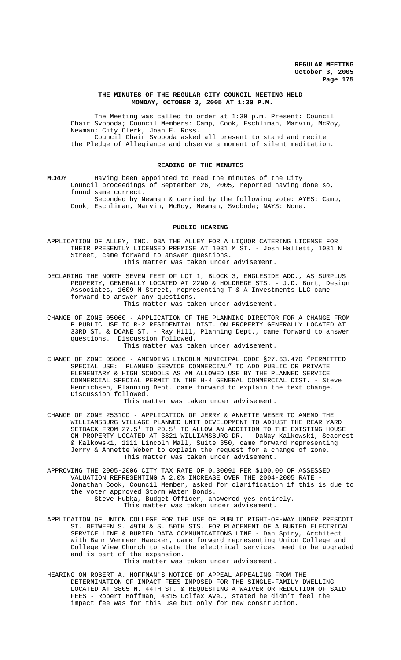# **THE MINUTES OF THE REGULAR CITY COUNCIL MEETING HELD MONDAY, OCTOBER 3, 2005 AT 1:30 P.M.**

The Meeting was called to order at 1:30 p.m. Present: Council Chair Svoboda; Council Members: Camp, Cook, Eschliman, Marvin, McRoy, Newman; City Clerk, Joan E. Ross. Council Chair Svoboda asked all present to stand and recite the Pledge of Allegiance and observe a moment of silent meditation.

# **READING OF THE MINUTES**

MCROY Having been appointed to read the minutes of the City Council proceedings of September 26, 2005, reported having done so, found same correct. Seconded by Newman & carried by the following vote: AYES: Camp,

Cook, Eschliman, Marvin, McRoy, Newman, Svoboda; NAYS: None.

# **PUBLIC HEARING**

APPLICATION OF ALLEY, INC. DBA THE ALLEY FOR A LIQUOR CATERING LICENSE FOR THEIR PRESENTLY LICENSED PREMISE AT 1031 M ST. - Josh Hallett, 1031 N Street, came forward to answer questions. This matter was taken under advisement.

DECLARING THE NORTH SEVEN FEET OF LOT 1, BLOCK 3, ENGLESIDE ADD., AS SURPLUS PROPERTY, GENERALLY LOCATED AT 22ND & HOLDREGE STS. - J.D. Burt, Design Associates, 1609 N Street, representing T & A Investments LLC came forward to answer any questions. This matter was taken under advisement.

CHANGE OF ZONE 05060 - APPLICATION OF THE PLANNING DIRECTOR FOR A CHANGE FROM P PUBLIC USE TO R-2 RESIDENTIAL DIST. ON PROPERTY GENERALLY LOCATED AT 33RD ST. & DOANE ST. - Ray Hill, Planning Dept., came forward to answer questions. Discussion followed. This matter was taken under advisement.

CHANGE OF ZONE 05066 - AMENDING LINCOLN MUNICIPAL CODE §27.63.470 "PERMITTED SPECIAL USE: PLANNED SERVICE COMMERCIAL" TO ADD PUBLIC OR PRIVATE ELEMENTARY & HIGH SCHOOLS AS AN ALLOWED USE BY THE PLANNED SERVICE COMMERCIAL SPECIAL PERMIT IN THE H-4 GENERAL COMMERCIAL DIST. - Steve Henrichsen, Planning Dept. came forward to explain the text change. Discussion followed.

This matter was taken under advisement.

CHANGE OF ZONE 2531CC - APPLICATION OF JERRY & ANNETTE WEBER TO AMEND THE WILLIAMSBURG VILLAGE PLANNED UNIT DEVELOPMENT TO ADJUST THE REAR YARD SETBACK FROM 27.5' TO 20.5' TO ALLOW AN ADDITION TO THE EXISTING HOUSE ON PROPERTY LOCATED AT 3821 WILLIAMSBURG DR. - DaNay Kalkowski, Seacrest & Kalkowski, 1111 Lincoln Mall, Suite 350, came forward representing Jerry & Annette Weber to explain the request for a change of zone. This matter was taken under advisement.

APPROVING THE 2005-2006 CITY TAX RATE OF 0.30091 PER \$100.00 OF ASSESSED VALUATION REPRESENTING A 2.0% INCREASE OVER THE 2004-2005 RATE - Jonathan Cook, Council Member, asked for clarification if this is due to the voter approved Storm Water Bonds. Steve Hubka, Budget Officer, answered yes entirely. This matter was taken under advisement.

APPLICATION OF UNION COLLEGE FOR THE USE OF PUBLIC RIGHT-OF-WAY UNDER PRESCOTT ST. BETWEEN S. 49TH & S. 50TH STS. FOR PLACEMENT OF A BURIED ELECTRICAL SERVICE LINE & BURIED DATA COMMUNICATIONS LINE - Dan Spiry, Architect with Bahr Vermeer Haecker, came forward representing Union College and College View Church to state the electrical services need to be upgraded and is part of the expansion. This matter was taken under advisement.

HEARING ON ROBERT A. HOFFMAN'S NOTICE OF APPEAL APPEALING FROM THE DETERMINATION OF IMPACT FEES IMPOSED FOR THE SINGLE-FAMILY DWELLING LOCATED AT 3805 N. 44TH ST. & REQUESTING A WAIVER OR REDUCTION OF SAID FEES - Robert Hoffman, 4315 Colfax Ave., stated he didn't feel the impact fee was for this use but only for new construction.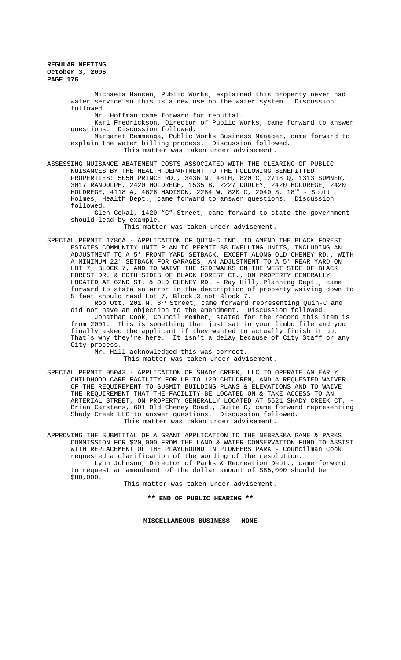\$80,000.

Michaela Hansen, Public Works, explained this property never had water service so this is a new use on the water system. Discussion followed.

Mr. Hoffman came forward for rebuttal.

Karl Fredrickson, Director of Public Works, came forward to answer questions. Discussion followed.

Margaret Remmenga, Public Works Business Manager, came forward to explain the water billing process. Discussion followed. This matter was taken under advisement.

ASSESSING NUISANCE ABATEMENT COSTS ASSOCIATED WITH THE CLEARING OF PUBLIC NUISANCES BY THE HEALTH DEPARTMENT TO THE FOLLOWING BENEFITTED PROPERTIES: 5050 PRINCE RD., 3436 N. 48TH, 820 C, 2718 Q, 1313 SUMNER, 3017 RANDOLPH, 2420 HOLDREGE, 1535 B, 2227 DUDLEY, 2420 HOLDREGE, 2420 HOLDREGE,  $4118$  A,  $4626$  MADISON,  $2284$  W,  $820$  C,  $2040$  S.  $18^{\text{TH}}$  - Scott Holmes, Health Dept., came forward to answer questions. Discussion followed.

Glen Cekal, 1420 "C" Street, came forward to state the government should lead by example.

.<br>This matter was taken under advisement.

SPECIAL PERMIT 1786A - APPLICATION OF QUIN-C INC. TO AMEND THE BLACK FOREST ESTATES COMMUNITY UNIT PLAN TO PERMIT 88 DWELLING UNITS, INCLUDING AN ADJUSTMENT TO A 5' FRONT YARD SETBACK, EXCEPT ALONG OLD CHENEY RD., WITH A MINIMUM 22' SETBACK FOR GARAGES, AN ADJUSTMENT TO A 5' REAR YARD ON LOT 7, BLOCK 7, AND TO WAIVE THE SIDEWALKS ON THE WEST SIDE OF BLACK FOREST DR. & BOTH SIDES OF BLACK FOREST CT., ON PROPERTY GENERALLY LOCATED AT 62ND ST. & OLD CHENEY RD. - Ray Hill, Planning Dept., came forward to state an error in the description of property waiving down to 5 feet should read Lot 7, Block 3 not Block 7.

Rob Ott, 201 N. 8<sup>th</sup> Street, came forward representing Quin-C and did not have an objection to the amendment. Discussion followed. Jonathan Cook, Council Member, stated for the record this item is from 2001. This is something that just sat in your limbo file and you finally asked the applicant if they wanted to actually finish it up. That's why they're here. It isn't a delay because of City Staff or any City process.

Mr. Hill acknowledged this was correct. This matter was taken under advisement.

SPECIAL PERMIT 05043 - APPLICATION OF SHADY CREEK, LLC TO OPERATE AN EARLY CHILDHOOD CARE FACILITY FOR UP TO 120 CHILDREN, AND A REQUESTED WAIVER OF THE REQUIREMENT TO SUBMIT BUILDING PLANS & ELEVATIONS AND TO WAIVE THE REQUIREMENT THAT THE FACILITY BE LOCATED ON & TAKE ACCESS TO AN ARTERIAL STREET, ON PROPERTY GENERALLY LOCATED AT 5521 SHADY CREEK CT. Brian Carstens, 601 Old Cheney Road., Suite C, came forward representing Shady Creek LLC to answer questions. Discussion followed. This matter was taken under advisement.

APPROVING THE SUBMITTAL OF A GRANT APPLICATION TO THE NEBRASKA GAME & PARKS COMMISSION FOR \$20,000 FROM THE LAND & WATER CONSERVATION FUND TO ASSIST WITH REPLACEMENT OF THE PLAYGROUND IN PIONEERS PARK - Councilman Cook requested a clarification of the wording of the resolution.

Lynn Johnson, Director of Parks & Recreation Dept., came forward to request an amendment of the dollar amount of \$85,000 should be

This matter was taken under advisement.

**\*\* END OF PUBLIC HEARING \*\***

**MISCELLANEOUS BUSINESS - NONE**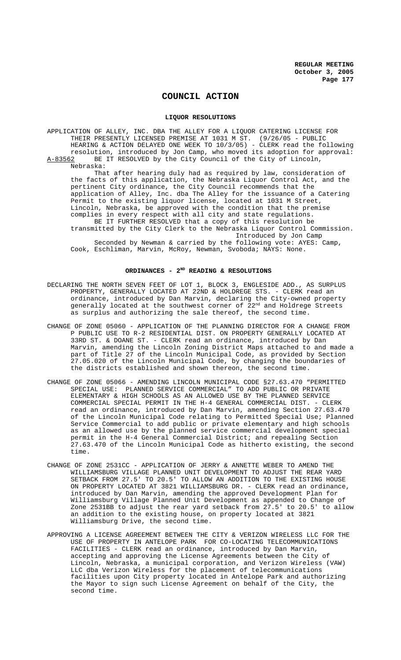# **COUNCIL ACTION**

## **LIQUOR RESOLUTIONS**

APPLICATION OF ALLEY, INC. DBA THE ALLEY FOR A LIQUOR CATERING LICENSE FOR THEIR PRESENTLY LICENSED PREMISE AT 1031 M ST. (9/26/05 - PUBLIC HEARING & ACTION DELAYED ONE WEEK TO 10/3/05) - CLERK read the following resolution, introduced by Jon Camp, who moved its adoption for approval:<br>A-83562 BE IT RESOLVED by the City Council of the City of Lincoln, BE IT RESOLVED by the City Council of the City of Lincoln, Nebraska:

That after hearing duly had as required by law, consideration of the facts of this application, the Nebraska Liquor Control Act, and the pertinent City ordinance, the City Council recommends that the application of Alley, Inc. dba The Alley for the issuance of a Catering Permit to the existing liquor license, located at 1031 M Street, Lincoln, Nebraska, be approved with the condition that the premise complies in every respect with all city and state regulations. BE IT FURTHER RESOLVED that a copy of this resolution be transmitted by the City Clerk to the Nebraska Liquor Control Commission. Introduced by Jon Camp

Seconded by Newman & carried by the following vote: AYES: Camp, Cook, Eschliman, Marvin, McRoy, Newman, Svoboda; NAYS: None.

# **ORDINANCES - 2ND READING & RESOLUTIONS**

- DECLARING THE NORTH SEVEN FEET OF LOT 1, BLOCK 3, ENGLESIDE ADD., AS SURPLUS PROPERTY, GENERALLY LOCATED AT 22ND & HOLDREGE STS. - CLERK read an ordinance, introduced by Dan Marvin, declaring the City-owned property generally located at the southwest corner of 22<sup>nd</sup> and Holdrege Streets as surplus and authorizing the sale thereof, the second time.
- CHANGE OF ZONE 05060 APPLICATION OF THE PLANNING DIRECTOR FOR A CHANGE FROM P PUBLIC USE TO R-2 RESIDENTIAL DIST. ON PROPERTY GENERALLY LOCATED AT 33RD ST. & DOANE ST. - CLERK read an ordinance, introduced by Dan Marvin, amending the Lincoln Zoning District Maps attached to and made a part of Title 27 of the Lincoln Municipal Code, as provided by Section 27.05.020 of the Lincoln Municipal Code, by changing the boundaries of the districts established and shown thereon, the second time.
- CHANGE OF ZONE 05066 AMENDING LINCOLN MUNICIPAL CODE §27.63.470 "PERMITTED SPECIAL USE: PLANNED SERVICE COMMERCIAL" TO ADD PUBLIC OR PRIVATE ELEMENTARY & HIGH SCHOOLS AS AN ALLOWED USE BY THE PLANNED SERVICE COMMERCIAL SPECIAL PERMIT IN THE H-4 GENERAL COMMERCIAL DIST. - CLERK read an ordinance, introduced by Dan Marvin, amending Section 27.63.470 of the Lincoln Municipal Code relating to Permitted Special Use; Planned Service Commercial to add public or private elementary and high schools as an allowed use by the planned service commercial development special permit in the H-4 General Commercial District; and repealing Section 27.63.470 of the Lincoln Municipal Code as hitherto existing, the second time.
- CHANGE OF ZONE 2531CC APPLICATION OF JERRY & ANNETTE WEBER TO AMEND THE WILLIAMSBURG VILLAGE PLANNED UNIT DEVELOPMENT TO ADJUST THE REAR YARD SETBACK FROM 27.5' TO 20.5' TO ALLOW AN ADDITION TO THE EXISTING HOUSE ON PROPERTY LOCATED AT 3821 WILLIAMSBURG DR. - CLERK read an ordinance, introduced by Dan Marvin, amending the approved Development Plan for Williamsburg Village Planned Unit Development as appended to Change of Zone 2531BB to adjust the rear yard setback from 27.5' to 20.5' to allow an addition to the existing house, on property located at 3821 Williamsburg Drive, the second time.
- APPROVING A LICENSE AGREEMENT BETWEEN THE CITY & VERIZON WIRELESS LLC FOR THE USE OF PROPERTY IN ANTELOPE PARK FOR CO-LOCATING TELECOMMUNICATIONS FACILITIES - CLERK read an ordinance, introduced by Dan Marvin, accepting and approving the License Agreements between the City of Lincoln, Nebraska, a municipal corporation, and Verizon Wireless (VAW) LLC dba Verizon Wireless for the placement of telecommunications facilities upon City property located in Antelope Park and authorizing the Mayor to sign such License Agreement on behalf of the City, the second time.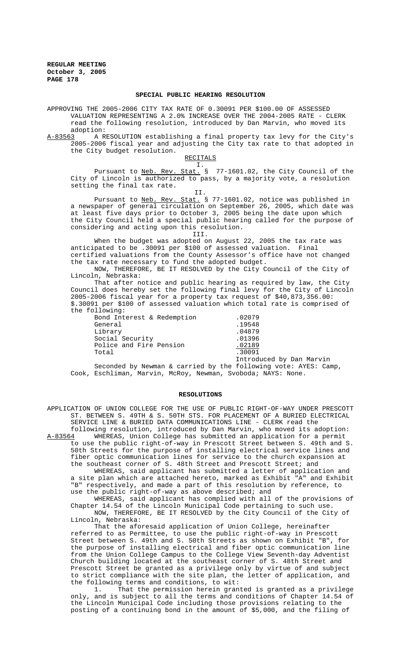## **SPECIAL PUBLIC HEARING RESOLUTION**

APPROVING THE 2005-2006 CITY TAX RATE OF 0.30091 PER \$100.00 OF ASSESSED VALUATION REPRESENTING A 2.0% INCREASE OVER THE 2004-2005 RATE - CLERK read the following resolution, introduced by Dan Marvin, who moved its adoption:<br>A-83563 A R

A-83563 A RESOLUTION establishing a final property tax levy for the City's 2005-2006 fiscal year and adjusting the City tax rate to that adopted in the City budget resolution.

## RECITALS I.

II.

Pursuant to <u>Neb. Rev. Stat.</u> § 77-1601.02, the City Council of the City of Lincoln is authorized to pass, by a majority vote, a resolution setting the final tax rate.

Pursuant to Neb. Rev. Stat. § 77-1601.02, notice was published in a newspaper of general circulation on September 26, 2005, which date was at least five days prior to October 3, 2005 being the date upon which the City Council held a special public hearing called for the purpose of considering and acting upon this resolution.

III.

When the budget was adopted on August 22, 2005 the tax rate was anticipated to be .30091 per \$100 of assessed valuation. Final certified valuations from the County Assessor's office have not changed the tax rate necessary to fund the adopted budget.

NOW, THEREFORE, BE IT RESOLVED by the City Council of the City of Lincoln, Nebraska:

That after notice and public hearing as required by law, the City Council does hereby set the following final levy for the City of Lincoln 2005-2006 fiscal year for a property tax request of \$40,873,356.00: \$.30091 per \$100 of assessed valuation which total rate is comprised of the following:

| Bond Interest & Redemption | .02079                   |
|----------------------------|--------------------------|
| General                    | .19548                   |
| Library                    | .04879                   |
| Social Security            | .01396                   |
| Police and Fire Pension    | .02189                   |
| Total                      | .30091                   |
|                            | Introduced by Dan Marvin |

Seconded by Newman & carried by the following vote: AYES: Camp, Cook, Eschliman, Marvin, McRoy, Newman, Svoboda; NAYS: None.

## **RESOLUTIONS**

APPLICATION OF UNION COLLEGE FOR THE USE OF PUBLIC RIGHT-OF-WAY UNDER PRESCOTT ST. BETWEEN S. 49TH & S. 50TH STS. FOR PLACEMENT OF A BURIED ELECTRICAL SERVICE LINE & BURIED DATA COMMUNICATIONS LINE - CLERK read the

following resolution, introduced by Dan Marvin, who moved its adoption:<br>A-83564 WHEREAS, Union College has submitted an application for a permit WHEREAS, Union College has submitted an application for a permit to use the public right-of-way in Prescott Street between S. 49th and S. 50th Streets for the purpose of installing electrical service lines and fiber optic communication lines for service to the church expansion at the southeast corner of S. 48th Street and Prescott Street; and

WHEREAS, said applicant has submitted a letter of application and a site plan which are attached hereto, marked as Exhibit "A" and Exhibit "B" respectively, and made a part of this resolution by reference, to use the public right-of-way as above described; and

WHEREAS, said applicant has complied with all of the provisions of Chapter 14.54 of the Lincoln Municipal Code pertaining to such use. NOW, THEREFORE, BE IT RESOLVED by the City Council of the City of Lincoln, Nebraska:

That the aforesaid application of Union College, hereinafter referred to as Permittee, to use the public right-of-way in Prescott Street between S. 49th and S. 50th Streets as shown on Exhibit "B", for the purpose of installing electrical and fiber optic communication line from the Union College Campus to the College View Seventh-day Adventist Church building located at the southeast corner of S. 48th Street and Prescott Street be granted as a privilege only by virtue of and subject to strict compliance with the site plan, the letter of application, and the following terms and conditions, to wit:

1. That the permission herein granted is granted as a privilege only, and is subject to all the terms and conditions of Chapter 14.54 of the Lincoln Municipal Code including those provisions relating to the posting of a continuing bond in the amount of \$5,000, and the filing of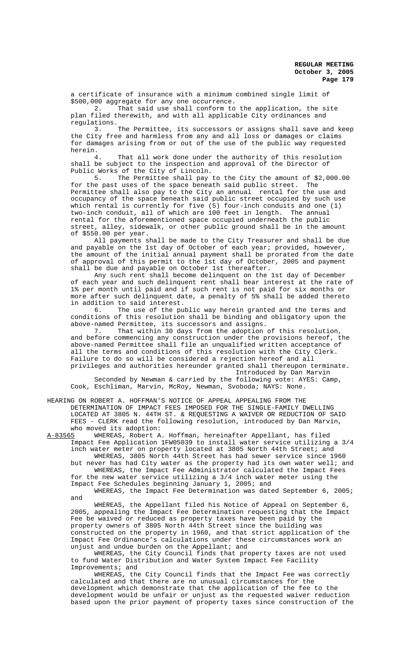a certificate of insurance with a minimum combined single limit of \$500,000 aggregate for any one occurrence.<br>2. That said use shall conform to

That said use shall conform to the application, the site plan filed therewith, and with all applicable City ordinances and regulations.<br>3.

The Permittee, its successors or assigns shall save and keep the City free and harmless from any and all loss or damages or claims for damages arising from or out of the use of the public way requested herein.

4. That all work done under the authority of this resolution shall be subject to the inspection and approval of the Director of Public Works of the City of Lincoln.

5. The Permittee shall pay to the City the amount of \$2,000.00 for the past uses of the space beneath said public street. The Permittee shall also pay to the City an annual rental for the use and occupancy of the space beneath said public street occupied by such use which rental is currently for five (5) four-inch conduits and one (1) two-inch conduit, all of which are 100 feet in length. The annual rental for the aforementioned space occupied underneath the public street, alley, sidewalk, or other public ground shall be in the amount of \$550.00 per year.

All payments shall be made to the City Treasurer and shall be due and payable on the 1st day of October of each year; provided, however, the amount of the initial annual payment shall be prorated from the date of approval of this permit to the 1st day of October, 2005 and payment shall be due and payable on October 1st thereafter.

Any such rent shall become delinquent on the 1st day of December of each year and such delinquent rent shall bear interest at the rate of 1% per month until paid and if such rent is not paid for six months or more after such delinquent date, a penalty of 5% shall be added thereto in addition to said interest.

6. The use of the public way herein granted and the terms and conditions of this resolution shall be binding and obligatory upon the above-named Permittee, its successors and assigns.

7. That within 30 days from the adoption of this resolution, and before commencing any construction under the provisions hereof, the above-named Permittee shall file an unqualified written acceptance of all the terms and conditions of this resolution with the City Clerk. Failure to do so will be considered a rejection hereof and all privileges and authorities hereunder granted shall thereupon terminate.

Introduced by Dan Marvin Seconded by Newman & carried by the following vote: AYES: Camp, Cook, Eschliman, Marvin, McRoy, Newman, Svoboda; NAYS: None.

HEARING ON ROBERT A. HOFFMAN'S NOTICE OF APPEAL APPEALING FROM THE DETERMINATION OF IMPACT FEES IMPOSED FOR THE SINGLE-FAMILY DWELLING LOCATED AT 3805 N. 44TH ST. & REQUESTING A WAIVER OR REDUCTION OF SAID FEES - CLERK read the following resolution, introduced by Dan Marvin, who moved its adoption:<br>A-83565 WHEREAS, Robert A

WHEREAS, Robert A. Hoffman, hereinafter Appellant, has filed Impact Fee Application 1FW05039 to install water service utilizing a 3/4 inch water meter on property located at 3805 North 44th Street; and

WHEREAS, 3805 North 44th Street has had sewer service since 1960 but never has had City water as the property had its own water well; and WHEREAS, the Impact Fee Administrator calculated the Impact Fees for the new water service utilizing a 3/4 inch water meter using the

Impact Fee Schedules beginning January 1, 2005; and WHEREAS, the Impact Fee Determination was dated September 6, 2005;

and WHEREAS, the Appellant filed his Notice of Appeal on September 6, 2005, appealing the Impact Fee Determination requesting that the Impact Fee be waived or reduced as property taxes have been paid by the property owners of 3805 North 44th Street since the building was constructed on the property in 1960, and that strict application of the Impact Fee Ordinance's calculations under these circumstances work an unjust and undue burden on the Appellant; and

WHEREAS, the City Council finds that property taxes are not used to fund Water Distribution and Water System Impact Fee Facility Improvements; and

WHEREAS, the City Council finds that the Impact Fee was correctly calculated and that there are no unusual circumstances for the development which demonstrate that the application of the fee to the development would be unfair or unjust as the requested waiver reduction based upon the prior payment of property taxes since construction of the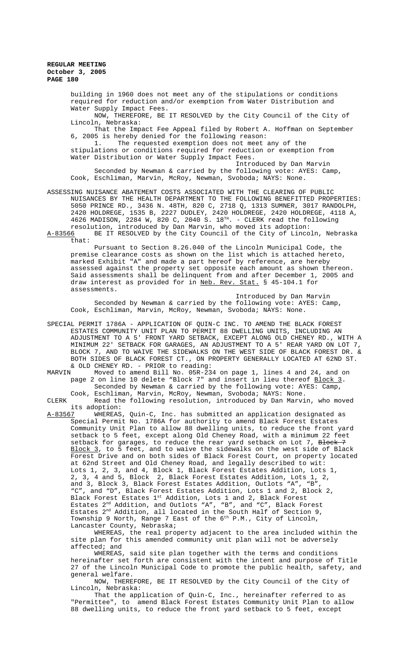> building in 1960 does not meet any of the stipulations or conditions required for reduction and/or exemption from Water Distribution and Water Supply Impact Fees.

NOW, THEREFORE, BE IT RESOLVED by the City Council of the City of Lincoln, Nebraska:

That the Impact Fee Appeal filed by Robert A. Hoffman on September 6, 2005 is hereby denied for the following reason:

1. The requested exemption does not meet any of the stipulations or conditions required for reduction or exemption from Water Distribution or Water Supply Impact Fees.

Introduced by Dan Marvin Seconded by Newman & carried by the following vote: AYES: Camp, Cook, Eschliman, Marvin, McRoy, Newman, Svoboda; NAYS: None.

ASSESSING NUISANCE ABATEMENT COSTS ASSOCIATED WITH THE CLEARING OF PUBLIC NUISANCES BY THE HEALTH DEPARTMENT TO THE FOLLOWING BENEFITTED PROPERTIES: 5050 PRINCE RD., 3436 N. 48TH, 820 C, 2718 Q, 1313 SUMNER, 3017 RANDOLPH, 2420 HOLDREGE, 1535 B, 2227 DUDLEY, 2420 HOLDREGE, 2420 HOLDREGE, 4118 A, 4626 MADISON, 2284 W, 820 C, 2040 S.  $18^{TH}$ . - CLERK read the following resolution, introduced by Dan Marvin, who moved its adoption:<br>A-83566 BE IT RESOLVED by the City Council of the City of Linco

BE IT RESOLVED by the City Council of the City of Lincoln, Nebraska that:

Pursuant to Section 8.26.040 of the Lincoln Municipal Code, the premise clearance costs as shown on the list which is attached hereto, marked Exhibit "A" and made a part hereof by reference, are hereby assessed against the property set opposite each amount as shown thereon. Said assessments shall be delinquent from and after December 1, 2005 and draw interest as provided for in Neb. Rev. Stat. § 45-104.1 for assessments.

Introduced by Dan Marvin Seconded by Newman & carried by the following vote: AYES: Camp, Cook, Eschliman, Marvin, McRoy, Newman, Svoboda; NAYS: None.

- SPECIAL PERMIT 1786A APPLICATION OF QUIN-C INC. TO AMEND THE BLACK FOREST ESTATES COMMUNITY UNIT PLAN TO PERMIT 88 DWELLING UNITS, INCLUDING AN ADJUSTMENT TO A 5' FRONT YARD SETBACK, EXCEPT ALONG OLD CHENEY RD., WITH A MINIMUM 22' SETBACK FOR GARAGES, AN ADJUSTMENT TO A 5' REAR YARD ON LOT 7, BLOCK 7, AND TO WAIVE THE SIDEWALKS ON THE WEST SIDE OF BLACK FOREST DR. & BOTH SIDES OF BLACK FOREST CT., ON PROPERTY GENERALLY LOCATED AT 62ND ST. & OLD CHENEY RD. - PRIOR to reading:<br>MARVIN Moved to amend Bill No 05R-23
- Moved to amend Bill No. 05R-234 on page 1, lines 4 and 24, and on page 2 on line 10 delete "Block 7" and insert in lieu thereof Block 3. Seconded by Newman & carried by the following vote: AYES: Camp, Cook, Eschliman, Marvin, McRoy, Newman, Svoboda; NAYS: None.

CLERK Read the following resolution, introduced by Dan Marvin, who moved its adoption:<br>A-83567 WHEREAS

WHEREAS, Quin-C, Inc. has submitted an application designated as Special Permit No. 1786A for authority to amend Black Forest Estates Community Unit Plan to allow 88 dwelling units, to reduce the front yard setback to 5 feet, except along Old Cheney Road, with a minimum 22 feet setback for garages, to reduce the rear yard setback on Lot 7, Block 7 <u>Block 3</u>, to 5 feet, and to waive the sidewalks on the west side of Black Forest Drive and on both sides of Black Forest Court, on property located at 62nd Street and Old Cheney Road, and legally described to wit: Lots 1, 2, 3, and 4, Block 1, Black Forest Estates Addition, Lots 1, 2, 3, 4 and 5, Block 2, Black Forest Estates Addition, Lots 1, 2, and 3, Block 3, Black Forest Estates Addition, Outlots "A", "B", "C", and "D", Black Forest Estates Addition, Lots 1 and 2, Block 2, Black Forest Estates 1st Addition, Lots 1 and 2, Black Forest Estates 2<sup>nd</sup> Addition, and Outlots "A", "B", and "C", Black Forest Estates 2<sup>nd</sup> Addition, all located in the South Half of Section 9, Township 9 North, Range 7 East of the  $6^{\text{th}}$  P.M., City of Lincoln, Lancaster County, Nebraska;

WHEREAS, the real property adjacent to the area included within the site plan for this amended community unit plan will not be adversely affected; and

WHEREAS, said site plan together with the terms and conditions hereinafter set forth are consistent with the intent and purpose of Title 27 of the Lincoln Municipal Code to promote the public health, safety, and general welfare.

NOW, THEREFORE, BE IT RESOLVED by the City Council of the City of Lincoln, Nebraska:

That the application of Quin-C, Inc., hereinafter referred to as "Permittee", to amend Black Forest Estates Community Unit Plan to allow 88 dwelling units, to reduce the front yard setback to 5 feet, except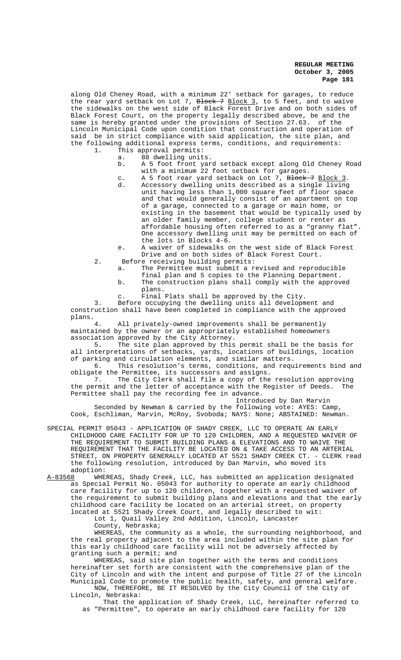along Old Cheney Road, with a minimum 22' setback for garages, to reduce the rear yard setback on Lot 7, <del>Block 7</del> <u>Block 3</u>, to 5 feet, and to waive the sidewalks on the west side of Black Forest Drive and on both sides of Black Forest Court, on the property legally described above, be and the same is hereby granted under the provisions of Section 27.63. of the Lincoln Municipal Code upon condition that construction and operation of said be in strict compliance with said application, the site plan, and the following additional express terms, conditions, and requirements:

- 1. This approval permits:
	- a. 88 dwelling units.
		- b. A 5 foot front yard setback except along Old Cheney Road with a minimum 22 foot setback for garages.
		- c. A 5 foot rear yard setback on Lot 7, Block 7 Block 3.<br>d. Accessory dwelling units described as a single living Accessory dwelling units described as a single living unit having less than 1,000 square feet of floor space and that would generally consist of an apartment on top of a garage, connected to a garage or main home, or existing in the basement that would be typically used by an older family member, college student or renter as affordable housing often referred to as a "granny flat". One accessory dwelling unit may be permitted on each of the lots in Blocks 4-6.
	- e. A waiver of sidewalks on the west side of Black Forest Drive and on both sides of Black Forest Court.
- 2. Before receiving building permits: a. The Permittee must submit a revised and reproducible
	- final plan and 5 copies to the Planning Department. b. The construction plans shall comply with the approved
	- plans.
	- c. Final Plats shall be approved by the City.

3. Before occupying the dwelling units all development and construction shall have been completed in compliance with the approved plans.

All privately-owned improvements shall be permanently maintained by the owner or an appropriately established homeowners association approved by the City Attorney.

5. The site plan approved by this permit shall be the basis for all interpretations of setbacks, yards, locations of buildings, location of parking and circulation elements, and similar matters.

6. This resolution's terms, conditions, and requirements bind and obligate the Permittee, its successors and assigns.<br>7. The City Clerk shall file a copy of the

The City Clerk shall file a copy of the resolution approving the permit and the letter of acceptance with the Register of Deeds. The Permittee shall pay the recording fee in advance. Introduced by Dan Marvin

Seconded by Newman & carried by the following vote: AYES: Camp, Cook, Eschliman, Marvin, McRoy, Svoboda; NAYS: None; ABSTAINED: Newman.

SPECIAL PERMIT 05043 - APPLICATION OF SHADY CREEK, LLC TO OPERATE AN EARLY CHILDHOOD CARE FACILITY FOR UP TO 120 CHILDREN, AND A REQUESTED WAIVER OF THE REQUIREMENT TO SUBMIT BUILDING PLANS & ELEVATIONS AND TO WAIVE THE REQUIREMENT THAT THE FACILITY BE LOCATED ON & TAKE ACCESS TO AN ARTERIAL STREET, ON PROPERTY GENERALLY LOCATED AT 5521 SHADY CREEK CT. - CLERK read the following resolution, introduced by Dan Marvin, who moved its

adoption:<br><u>A-83568</u> WHE A-83568 MHEREAS, Shady Creek, LLC, has submitted an application designated as Special Permit No. 05043 for authority to operate an early childhood care facility for up to 120 children, together with a requested waiver of the requirement to submit building plans and elevations and that the early childhood care facility be located on an arterial street, on property located at 5521 Shady Creek Court, and legally described to wit:

Lot 1, Quail Valley 2nd Addition, Lincoln, Lancaster

County, Nebraska;

WHEREAS, the community as a whole, the surrounding neighborhood, and the real property adjacent to the area included within the site plan for this early childhood care facility will not be adversely affected by granting such a permit; and

WHEREAS, said site plan together with the terms and conditions hereinafter set forth are consistent with the comprehensive plan of the City of Lincoln and with the intent and purpose of Title 27 of the Lincoln Municipal Code to promote the public health, safety, and general welfare. NOW, THEREFORE, BE IT RESOLVED by the City Council of the City of

Lincoln, Nebraska: That the application of Shady Creek, LLC, hereinafter referred to

as "Permittee", to operate an early childhood care facility for 120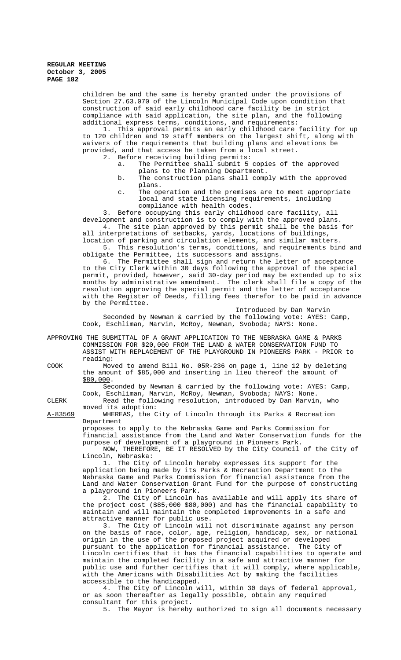children be and the same is hereby granted under the provisions of Section 27.63.070 of the Lincoln Municipal Code upon condition that construction of said early childhood care facility be in strict compliance with said application, the site plan, and the following additional express terms, conditions, and requirements:

1. This approval permits an early childhood care facility for up to 120 children and 19 staff members on the largest shift, along with waivers of the requirements that building plans and elevations be provided, and that access be taken from a local street.

- 2. Before receiving building permits:
	- a. The Permittee shall submit 5 copies of the approved plans to the Planning Department.
	- b. The construction plans shall comply with the approved plans.
	- c. The operation and the premises are to meet appropriate local and state licensing requirements, including compliance with health codes.

3. Before occupying this early childhood care facility, all development and construction is to comply with the approved plans.

4. The site plan approved by this permit shall be the basis for all interpretations of setbacks, yards, locations of buildings, location of parking and circulation elements, and similar matters.

5. This resolution's terms, conditions, and requirements bind and obligate the Permittee, its successors and assigns.

6. The Permittee shall sign and return the letter of acceptance to the City Clerk within 30 days following the approval of the special permit, provided, however, said 30-day period may be extended up to six months by administrative amendment. The clerk shall file a copy of the resolution approving the special permit and the letter of acceptance with the Register of Deeds, filling fees therefor to be paid in advance by the Permittee.

Introduced by Dan Marvin

Seconded by Newman & carried by the following vote: AYES: Camp, Cook, Eschliman, Marvin, McRoy, Newman, Svoboda; NAYS: None.

APPROVING THE SUBMITTAL OF A GRANT APPLICATION TO THE NEBRASKA GAME & PARKS COMMISSION FOR \$20,000 FROM THE LAND & WATER CONSERVATION FUND TO ASSIST WITH REPLACEMENT OF THE PLAYGROUND IN PIONEERS PARK - PRIOR to reading:

COOK Moved to amend Bill No. 05R-236 on page 1, line 12 by deleting the amount of \$85,000 and inserting in lieu thereof the amount of \$80,000.

Seconded by Newman & carried by the following vote: AYES: Camp, Cook, Eschliman, Marvin, McRoy, Newman, Svoboda; NAYS: None.

CLERK Read the following resolution, introduced by Dan Marvin, who moved its adoption:

A-83569 WHEREAS, the City of Lincoln through its Parks & Recreation Department

proposes to apply to the Nebraska Game and Parks Commission for financial assistance from the Land and Water Conservation funds for the purpose of development of a playground in Pioneers Park.

NOW, THEREFORE, BE IT RESOLVED by the City Council of the City of Lincoln, Nebraska:

1. The City of Lincoln hereby expresses its support for the application being made by its Parks & Recreation Department to the Nebraska Game and Parks Commission for financial assistance from the Land and Water Conservation Grant Fund for the purpose of constructing a playground in Pioneers Park.

2. The City of Lincoln has available and will apply its share of the project cost (\$85,000 \$80,000) and has the financial capability to maintain and will maintain the completed improvements in a safe and attractive manner for public use.

3. The City of Lincoln will not discriminate against any person on the basis of race, color, age, religion, handicap, sex, or national origin in the use of the proposed project acquired or developed pursuant to the application for financial assistance. The City of Lincoln certifies that it has the financial capabilities to operate and maintain the completed facility in a safe and attractive manner for public use and further certifies that it will comply, where applicable, with the Americans with Disabilities Act by making the facilities accessible to the handicapped.

4. The City of Lincoln will, within 30 days of federal approval, or as soon thereafter as legally possible, obtain any required consultant for this project.

5. The Mayor is hereby authorized to sign all documents necessary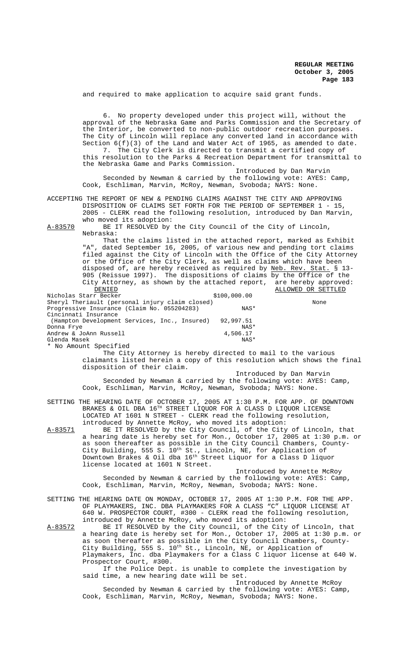and required to make application to acquire said grant funds.

6. No property developed under this project will, without the approval of the Nebraska Game and Parks Commission and the Secretary of the Interior, be converted to non-public outdoor recreation purposes. The City of Lincoln will replace any converted land in accordance with Section 6(f)(3) of the Land and Water Act of 1965, as amended to date. 7. The City Clerk is directed to transmit a certified copy of this resolution to the Parks & Recreation Department for transmittal to the Nebraska Game and Parks Commission.

Introduced by Dan Marvin Seconded by Newman & carried by the following vote: AYES: Camp, Cook, Eschliman, Marvin, McRoy, Newman, Svoboda; NAYS: None.

ACCEPTING THE REPORT OF NEW & PENDING CLAIMS AGAINST THE CITY AND APPROVING DISPOSITION OF CLAIMS SET FORTH FOR THE PERIOD OF SEPTEMBER 1 - 15, 2005 - CLERK read the following resolution, introduced by Dan Marvin, who moved its adoption:

A-83570 BE IT RESOLVED by the City Council of the City of Lincoln, Nebraska:

That the claims listed in the attached report, marked as Exhibit "A", dated September 16, 2005, of various new and pending tort claims filed against the City of Lincoln with the Office of the City Attorney or the Office of the City Clerk, as well as claims which have been disposed of, are hereby received as required by Neb. Rev. Stat. § 13- 905 (Reissue 1997). The dispositions of claims by the Office of the City Attorney, as shown by the attached report, are hereby approved: DENIED **ALLOWED OR SETTLED** Nicholas Starr Becker \$100,000.00

Sheryl Theriault (personal injury claim closed)<br>Progressive Insurance (Claim No. 055204283) NAS\* Progressive Insurance (Claim No. 055204283) Cincinnati Insurance (Hampton Development Services, Inc., Insured) 92,997.51 Donna Frye NAS<br>Andrew & JoAnn Russell (1999) 4,506.17 Andrew & JoAnn Russell Glenda Masek NAS\* No Amount Specified

The City Attorney is hereby directed to mail to the various claimants listed herein a copy of this resolution which shows the final disposition of their claim.

Introduced by Dan Marvin Seconded by Newman & carried by the following vote: AYES: Camp, Cook, Eschliman, Marvin, McRoy, Newman, Svoboda; NAYS: None.

SETTING THE HEARING DATE OF OCTOBER 17, 2005 AT 1:30 P.M. FOR APP. OF DOWNTOWN BRAKES & OIL DBA 16<sup>TH</sup> STREET LIQUOR FOR A CLASS D LIQUOR LICENSE LOCATED AT 1601 N STREET - CLERK read the following resolution, introduced by Annette McRoy, who moved its adoption:

A-83571 BE IT RESOLVED by the City Council, of the City of Lincoln, that a hearing date is hereby set for Mon., October 17, 2005 at 1:30 p.m. or as soon thereafter as possible in the City Council Chambers, County-City Building, 555 S. 10<sup>th</sup> St., Lincoln, NE, for Application of Downtown Brakes & Oil dba 16th Street Liquor for a Class D liquor license located at 1601 N Street.

Introduced by Annette McRoy Seconded by Newman & carried by the following vote: AYES: Camp, Cook, Eschliman, Marvin, McRoy, Newman, Svoboda; NAYS: None.

SETTING THE HEARING DATE ON MONDAY, OCTOBER 17, 2005 AT 1:30 P.M. FOR THE APP. OF PLAYMAKERS, INC. DBA PLAYMAKERS FOR A CLASS "C" LIQUOR LICENSE AT 640 W. PROSPECTOR COURT, #300 - CLERK read the following resolution, introduced by Annette McRoy, who moved its adoption:

A-83572 BE IT RESOLVED by the City Council, of the City of Lincoln, that a hearing date is hereby set for Mon., October 17, 2005 at 1:30 p.m. or as soon thereafter as possible in the City Council Chambers, County-City Building, 555 S. 10th St., Lincoln, NE, or Application of Playmakers, Inc. dba Playmakers for a Class C liquor license at 640 W. Prospector Court, #300.

> If the Police Dept. is unable to complete the investigation by said time, a new hearing date will be set.

Introduced by Annette McRoy Seconded by Newman & carried by the following vote: AYES: Camp, Cook, Eschliman, Marvin, McRoy, Newman, Svoboda; NAYS: None.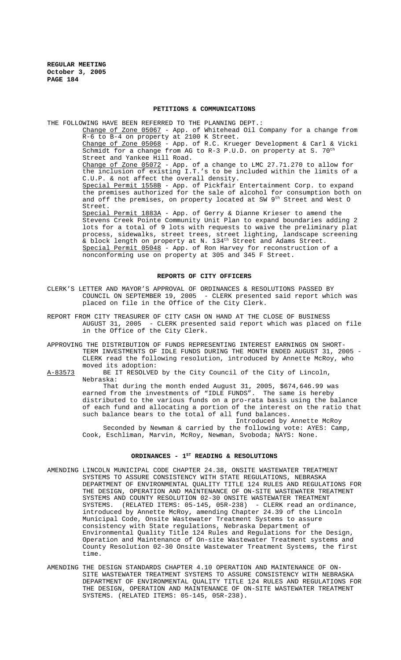# **PETITIONS & COMMUNICATIONS**

THE FOLLOWING HAVE BEEN REFERRED TO THE PLANNING DEPT.: Change of Zone 05067 - App. of Whitehead Oil Company for a change from R-6 to B-4 on property at 2100 K Street. Change of Zone 05068 - App. of R.C. Krueger Development & Carl & Vicki Schmidt for a change from AG to R-3 P.U.D. on property at S. 70<sup>th</sup> Street and Yankee Hill Road. Change of Zone 05072 - App. of a change to LMC 27.71.270 to allow for the inclusion of existing I.T.'s to be included within the limits of a C.U.P. & not affect the overall density. Special Permit 1558B - App. of Pickfair Entertainment Corp. to expand the premises authorized for the sale of alcohol for consumption both on and off the premises, on property located at SW  $9<sup>th</sup>$  Street and West O Street. Special Permit 1883A - App. of Gerry & Dianne Krieser to amend the Stevens Creek Pointe Community Unit Plan to expand boundaries adding 2 lots for a total of 9 lots with requests to waive the preliminary plat process, sidewalks, street trees, street lighting, landscape screening & block length on property at N. 134<sup>th</sup> Street and Adams Street. Special Permit 05048 - App. of Ron Harvey for reconstruction of a nonconforming use on property at 305 and 345 F Street.

### **REPORTS OF CITY OFFICERS**

- CLERK'S LETTER AND MAYOR'S APPROVAL OF ORDINANCES & RESOLUTIONS PASSED BY COUNCIL ON SEPTEMBER 19, 2005 - CLERK presented said report which was placed on file in the Office of the City Clerk.
- REPORT FROM CITY TREASURER OF CITY CASH ON HAND AT THE CLOSE OF BUSINESS AUGUST 31, 2005 - CLERK presented said report which was placed on file in the Office of the City Clerk.
- APPROVING THE DISTRIBUTION OF FUNDS REPRESENTING INTEREST EARNINGS ON SHORT-TERM INVESTMENTS OF IDLE FUNDS DURING THE MONTH ENDED AUGUST 31, 2005 -CLERK read the following resolution, introduced by Annette McRoy, who moved its adoption:
- A-83573 BE IT RESOLVED by the City Council of the City of Lincoln, Nebraska:

That during the month ended August 31, 2005, \$674,646.99 was earned from the investments of "IDLE FUNDS". The same is hereby distributed to the various funds on a pro-rata basis using the balance of each fund and allocating a portion of the interest on the ratio that such balance bears to the total of all fund balances.

Introduced by Annette McRoy Seconded by Newman & carried by the following vote: AYES: Camp, Cook, Eschliman, Marvin, McRoy, Newman, Svoboda; NAYS: None.

# ORDINANCES -  $1^{ST}$  READING & RESOLUTIONS

- AMENDING LINCOLN MUNICIPAL CODE CHAPTER 24.38, ONSITE WASTEWATER TREATMENT SYSTEMS TO ASSURE CONSISTENCY WITH STATE REGULATIONS, NEBRASKA DEPARTMENT OF ENVIRONMENTAL QUALITY TITLE 124 RULES AND REGULATIONS FOR THE DESIGN, OPERATION AND MAINTENANCE OF ON-SITE WASTEWATER TREATMENT SYSTEMS AND COUNTY RESOLUTION 02-30 ONSITE WASTEWATER TREATMENT<br>SYSTEMS. (RELATED ITEMS: 05-145, 05R-238) - CLERK read an ordinance, SYSTEMS. (RELATED ITEMS:  $05-145$ ,  $05R-238$ ) introduced by Annette McRoy, amending Chapter 24.39 of the Lincoln Municipal Code, Onsite Wastewater Treatment Systems to assure consistency with State regulations, Nebraska Department of Environmental Quality Title 124 Rules and Regulations for the Design, Operation and Maintenance of On-site Wastewater Treatment systems and County Resolution 02-30 Onsite Wastewater Treatment Systems, the first time.
- AMENDING THE DESIGN STANDARDS CHAPTER 4.10 OPERATION AND MAINTENANCE OF ON-SITE WASTEWATER TREATMENT SYSTEMS TO ASSURE CONSISTENCY WITH NEBRASKA DEPARTMENT OF ENVIRONMENTAL QUALITY TITLE 124 RULES AND REGULATIONS FOR THE DESIGN, OPERATION AND MAINTENANCE OF ON-SITE WASTEWATER TREATMENT SYSTEMS. (RELATED ITEMS: 05-145, 05R-238).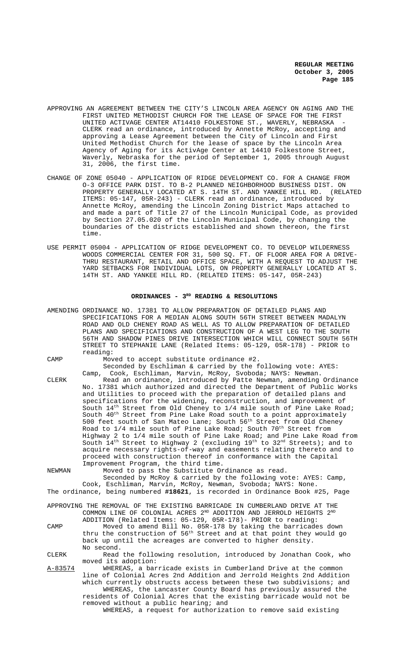- APPROVING AN AGREEMENT BETWEEN THE CITY'S LINCOLN AREA AGENCY ON AGING AND THE FIRST UNITED METHODIST CHURCH FOR THE LEASE OF SPACE FOR THE FIRST UNITED ACTIVAGE CENTER AT14410 FOLKESTONE ST., WAVERLY, NEBRASKA CLERK read an ordinance, introduced by Annette McRoy, accepting and approving a Lease Agreement between the City of Lincoln and First United Methodist Church for the lease of space by the Lincoln Area Agency of Aging for its ActivAge Center at 14410 Folkestone Street, Waverly, Nebraska for the period of September 1, 2005 through August 31, 2006, the first time.
- CHANGE OF ZONE 05040 APPLICATION OF RIDGE DEVELOPMENT CO. FOR A CHANGE FROM O-3 OFFICE PARK DIST. TO B-2 PLANNED NEIGHBORHOOD BUSINESS DIST. ON<br>PROPERTY GENERALLY LOCATED AT S. 14TH ST. AND YANKEE HILL RD. (RELATED PROPERTY GENERALLY LOCATED AT S. 14TH ST. AND YANKEE HILL RD. ITEMS: 05-147, 05R-243) - CLERK read an ordinance, introduced by Annette McRoy, amending the Lincoln Zoning District Maps attached to and made a part of Title 27 of the Lincoln Municipal Code, as provided by Section 27.05.020 of the Lincoln Municipal Code, by changing the boundaries of the districts established and shown thereon, the first time.
- USE PERMIT 05004 APPLICATION OF RIDGE DEVELOPMENT CO. TO DEVELOP WILDERNESS WOODS COMMERCIAL CENTER FOR 31, 500 SQ. FT. OF FLOOR AREA FOR A DRIVE-THRU RESTAURANT, RETAIL AND OFFICE SPACE, WITH A REQUEST TO ADJUST THE YARD SETBACKS FOR INDIVIDUAL LOTS, ON PROPERTY GENERALLY LOCATED AT S. 14TH ST. AND YANKEE HILL RD. (RELATED ITEMS: 05-147, 05R-243)

# ORDINANCES - 3<sup>RD</sup> READING & RESOLUTIONS

- AMENDING ORDINANCE NO. 17381 TO ALLOW PREPARATION OF DETAILED PLANS AND SPECIFICATIONS FOR A MEDIAN ALONG SOUTH 56TH STREET BETWEEN MADALYN ROAD AND OLD CHENEY ROAD AS WELL AS TO ALLOW PREPARATION OF DETAILED PLANS AND SPECIFICATIONS AND CONSTRUCTION OF A WEST LEG TO THE SOUTH 56TH AND SHADOW PINES DRIVE INTERSECTION WHICH WILL CONNECT SOUTH 56TH STREET TO STEPHANIE LANE (Related Items: 05-129, 05R-178) - PRIOR to reading:
- 

CAMP Moved to accept substitute ordinance #2. Seconded by Eschliman & carried by the following vote: AYES:

Camp, Cook, Eschliman, Marvin, McRoy, Svoboda; NAYS: Newman. CLERK Read an ordinance, introduced by Patte Newman, amending Ordinance 17381 which authorized and directed the Department of Public Works and Utilities to proceed with the preparation of detailed plans and specifications for the widening, reconstruction, and improvement of South  $14^{th}$  Street from Old Cheney to  $1/4$  mile south of Pine Lake Road; South 40<sup>th</sup> Street from Pine Lake Road south to a point approximately 500 feet south of San Mateo Lane; South 56<sup>th</sup> Street from Old Cheney Road to  $1/4$  mile south of Pine Lake Road; South  $70^{\rm th}$  Street from Highway 2 to 1/4 mile south of Pine Lake Road; and Pine Lake Road from South  $14<sup>th</sup>$  Street to Highway 2 (excluding  $19<sup>th</sup>$  to  $32<sup>nd</sup>$  Streets); and to acquire necessary rights-of-way and easements relating thereto and to proceed with construction thereof in conformance with the Capital Improvement Program, the third time.

NEWMAN Moved to pass the Substitute Ordinance as read. Seconded by McRoy & carried by the following vote: AYES: Camp,

Cook, Eschliman, Marvin, McRoy, Newman, Svoboda; NAYS: None. The ordinance, being numbered **#18621**, is recorded in Ordinance Book #25, Page

APPROVING THE REMOVAL OF THE EXISTING BARRICADE IN CUMBERLAND DRIVE AT THE COMMON LINE OF COLONIAL ACRES  $2^{\text{ND}}$  ADDITION AND JERROLD HEIGHTS  $2^{\text{ND}}$ ADDITION (Related Items: 05-129, 05R-178)- PRIOR to reading:

CAMP Moved to amend Bill No. 05R-178 by taking the barricades down thru the construction of  $56<sup>th</sup>$  Street and at that point they would go back up until the acreages are converted to higher density. No second.

CLERK Read the following resolution, introduced by Jonathan Cook, who moved its adoption:

A-83574 WHEREAS, a barricade exists in Cumberland Drive at the common line of Colonial Acres 2nd Addition and Jerrold Heights 2nd Addition which currently obstructs access between these two subdivisions; and WHEREAS, the Lancaster County Board has previously assured the residents of Colonial Acres that the existing barricade would not be removed without a public hearing; and

WHEREAS, a request for authorization to remove said existing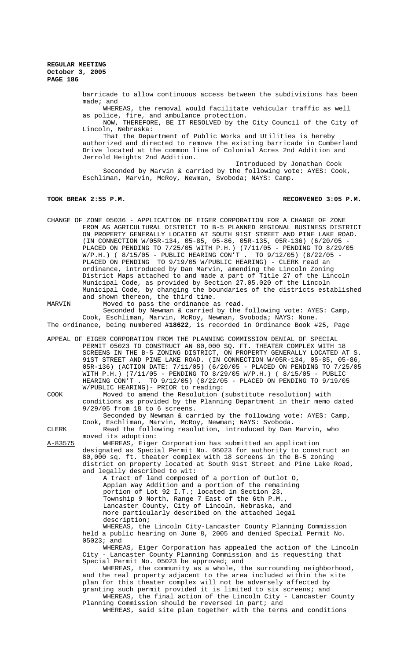barricade to allow continuous access between the subdivisions has been made; and

WHEREAS, the removal would facilitate vehicular traffic as well as police, fire, and ambulance protection.

NOW, THEREFORE, BE IT RESOLVED by the City Council of the City of Lincoln, Nebraska:

That the Department of Public Works and Utilities is hereby authorized and directed to remove the existing barricade in Cumberland Drive located at the common line of Colonial Acres 2nd Addition and Jerrold Heights 2nd Addition.

Introduced by Jonathan Cook Seconded by Marvin & carried by the following vote: AYES: Cook, Eschliman, Marvin, McRoy, Newman, Svoboda; NAYS: Camp.

## **TOOK BREAK 2:55 P.M. RECONVENED 3:05 P.M.**

- CHANGE OF ZONE 05036 APPLICATION OF EIGER CORPORATION FOR A CHANGE OF ZONE FROM AG AGRICULTURAL DISTRICT TO B-5 PLANNED REGIONAL BUSINESS DISTRICT ON PROPERTY GENERALLY LOCATED AT SOUTH 91ST STREET AND PINE LAKE ROAD. (IN CONNECTION W/05R-134, 05-85, 05-86, 05R-135, 05R-136) (6/20/05 - PLACED ON PENDING TO 7/25/05 WITH P.H.) (7/11/05 - PENDING TO 8/29/05 W/P.H.) ( 8/15/05 - PUBLIC HEARING CON'T . TO 9/12/05) (8/22/05 - PLACED ON PENDING TO 9/19/05 W/PUBLIC HEARING) - CLERK read an ordinance, introduced by Dan Marvin, amending the Lincoln Zoning District Maps attached to and made a part of Title 27 of the Lincoln Municipal Code, as provided by Section 27.05.020 of the Lincoln Municipal Code, by changing the boundaries of the districts established and shown thereon, the third time.
- MARVIN Moved to pass the ordinance as read. Seconded by Newman & carried by the following vote: AYES: Camp, Cook, Eschliman, Marvin, McRoy, Newman, Svoboda; NAYS: None.

The ordinance, being numbered **#18622**, is recorded in Ordinance Book #25, Page

APPEAL OF EIGER CORPORATION FROM THE PLANNING COMMISSION DENIAL OF SPECIAL PERMIT 05023 TO CONSTRUCT AN 80,000 SQ. FT. THEATER COMPLEX WITH 18 SCREENS IN THE B-5 ZONING DISTRICT, ON PROPERTY GENERALLY LOCATED AT S. 91ST STREET AND PINE LAKE ROAD. (IN CONNECTION W/05R-134, 05-85, 05-86, 05R-136) (ACTION DATE: 7/11/05) (6/20/05 - PLACED ON PENDING TO 7/25/05 WITH P.H.) (7/11/05 - PENDING TO 8/29/05 W/P.H.) ( 8/15/05 - PUBLIC HEARING CON'T . TO 9/12/05) (8/22/05 - PLACED ON PENDING TO 9/19/05 W/PUBLIC HEARING)- PRIOR to reading:

COOK Moved to amend the Resolution (substitute resolution) with conditions as provided by the Planning Department in their memo dated 9/29/05 from 18 to 6 screens.

Seconded by Newman & carried by the following vote: AYES: Camp, Cook, Eschliman, Marvin, McRoy, Newman; NAYS: Svoboda. CLERK Read the following resolution, introduced by Dan Marvin, who

moved its adoption: A-83575 WHEREAS, Eiger Corporation has submitted an application designated as Special Permit No. 05023 for authority to construct an 80,000 sq. ft. theater complex with 18 screens in the B-5 zoning district on property located at South 91st Street and Pine Lake Road, and legally described to wit:

A tract of land composed of a portion of Outlot O, Appian Way Addition and a portion of the remaining portion of Lot 92 I.T.; located in Section 23, Township 9 North, Range 7 East of the 6th P.M., Lancaster County, City of Lincoln, Nebraska, and more particularly described on the attached legal description;

WHEREAS, the Lincoln City-Lancaster County Planning Commission held a public hearing on June 8, 2005 and denied Special Permit No. 05023; and

WHEREAS, Eiger Corporation has appealed the action of the Lincoln City - Lancaster County Planning Commission and is requesting that Special Permit No. 05023 be approved; and

WHEREAS, the community as a whole, the surrounding neighborhood, and the real property adjacent to the area included within the site plan for this theater complex will not be adversely affected by granting such permit provided it is limited to six screens; and WHEREAS, the final action of the Lincoln City - Lancaster County

Planning Commission should be reversed in part; and WHEREAS, said site plan together with the terms and conditions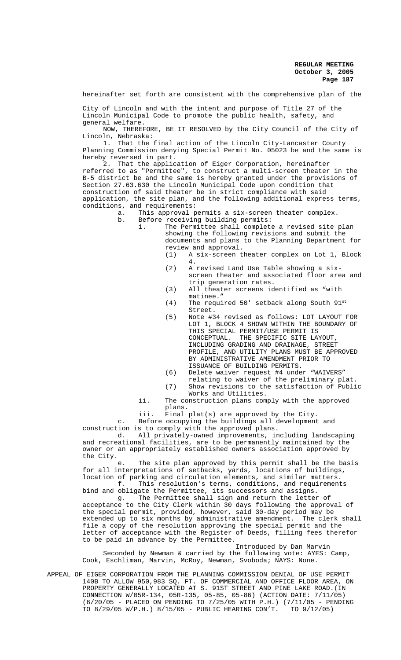hereinafter set forth are consistent with the comprehensive plan of the

City of Lincoln and with the intent and purpose of Title 27 of the Lincoln Municipal Code to promote the public health, safety, and general welfare.

NOW, THEREFORE, BE IT RESOLVED by the City Council of the City of Lincoln, Nebraska:

1. That the final action of the Lincoln City-Lancaster County Planning Commission denying Special Permit No. 05023 be and the same is hereby reversed in part.

2. That the application of Eiger Corporation, hereinafter referred to as "Permittee", to construct a multi-screen theater in the B-5 district be and the same is hereby granted under the provisions of Section 27.63.630 the Lincoln Municipal Code upon condition that construction of said theater be in strict compliance with said application, the site plan, and the following additional express terms, conditions, and requirements:<br>a. This approval p

a. This approval permits a six-screen theater complex.<br>b. Before receiving building permits:

Before receiving building permits:<br>i. The Permittee shall complete

The Permittee shall complete a revised site plan showing the following revisions and submit the documents and plans to the Planning Department for review and approval.

- (1) A six-screen theater complex on Lot 1, Block 4.
- (2) A revised Land Use Table showing a sixscreen theater and associated floor area and trip generation rates.
- (3) All theater screens identified as "with matinee."
- (4) The required 50' setback along South 91st Street.
- (5) Note #34 revised as follows: LOT LAYOUT FOR LOT 1, BLOCK 4 SHOWN WITHIN THE BOUNDARY OF THIS SPECIAL PERMIT/USE PERMIT IS CONCEPTUAL. THE SPECIFIC SITE LAYOUT, INCLUDING GRADING AND DRAINAGE, STREET PROFILE, AND UTILITY PLANS MUST BE APPROVED BY ADMINISTRATIVE AMENDMENT PRIOR TO ISSUANCE OF BUILDING PERMITS.
- (6) Delete waiver request #4 under "WAIVERS" relating to waiver of the preliminary plat.
- (7) Show revisions to the satisfaction of Public Works and Utilities.
- ii. The construction plans comply with the approved plans.
- iii. Final plat(s) are approved by the City.

c. Before occupying the buildings all development and construction is to comply with the approved plans.<br>d. All privately-owned improvements, in

All privately-owned improvements, including landscaping and recreational facilities, are to be permanently maintained by the owner or an appropriately established owners association approved by the City.

e. The site plan approved by this permit shall be the basis for all interpretations of setbacks, yards, locations of buildings, location of parking and circulation elements, and similar matters. f. This resolution's terms, conditions, and requirements

bind and obligate the Permittee, its successors and assigns. g. The Permittee shall sign and return the letter of

acceptance to the City Clerk within 30 days following the approval of the special permit, provided, however, said 30-day period may be extended up to six months by administrative amendment. The clerk shall file a copy of the resolution approving the special permit and the letter of acceptance with the Register of Deeds, filling fees therefor to be paid in advance by the Permittee.

Introduced by Dan Marvin Seconded by Newman & carried by the following vote: AYES: Camp, Cook, Eschliman, Marvin, McRoy, Newman, Svoboda; NAYS: None.

APPEAL OF EIGER CORPORATION FROM THE PLANNING COMMISSION DENIAL OF USE PERMIT 140B TO ALLOW 950,983 SQ. FT. OF COMMERCIAL AND OFFICE FLOOR AREA, ON PROPERTY GENERALLY LOCATED AT S. 91ST STREET AND PINE LAKE ROAD.(IN CONNECTION W/05R-134, 05R-135, 05-85, 05-86) (ACTION DATE: 7/11/05)  $(6/20/05 -$ PLACED ON PENDING TO 7/25/05 WITH P.H.) (7/11/05 - PENDING TO 8/29/05 W/P.H.) 8/15/05 - PUBLIC HEARING CON'T. TO 9/12/05) TO  $8/29/05$  W/P.H.)  $8/15/05$  - PUBLIC HEARING CON'T.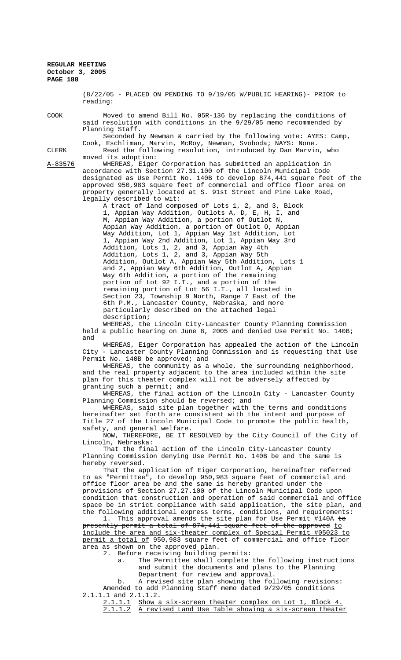> (8/22/05 - PLACED ON PENDING TO 9/19/05 W/PUBLIC HEARING)- PRIOR to reading:

COOK Moved to amend Bill No. 05R-136 by replacing the conditions of said resolution with conditions in the 9/29/05 memo recommended by Planning Staff.

Cook, Eschliman, Marvin, McRoy, Newman, Svoboda; NAYS: None.

Seconded by Newman & carried by the following vote: AYES: Camp,

CLERK Read the following resolution, introduced by Dan Marvin, who moved its adoption:

A-83576 WHEREAS, Eiger Corporation has submitted an application in accordance with Section 27.31.100 of the Lincoln Municipal Code designated as Use Permit No. 140B to develop 874,441 square feet of the approved 950,983 square feet of commercial and office floor area on property generally located at S. 91st Street and Pine Lake Road, legally described to wit:

A tract of land composed of Lots 1, 2, and 3, Block 1, Appian Way Addition, Outlots A, D, E, H, I, and M, Appian Way Addition, a portion of Outlot N, Appian Way Addition, a portion of Outlot O, Appian Way Addition, Lot 1, Appian Way 1st Addition, Lot 1, Appian Way 2nd Addition, Lot 1, Appian Way 3rd Addition, Lots 1, 2, and 3, Appian Way 4th Addition, Lots 1, 2, and 3, Appian Way 5th Addition, Outlot A, Appian Way 5th Addition, Lots 1 and 2, Appian Way 6th Addition, Outlot A, Appian Way 6th Addition, a portion of the remaining portion of Lot 92 I.T., and a portion of the remaining portion of Lot 56 I.T., all located in Section 23, Township 9 North, Range 7 East of the 6th P.M., Lancaster County, Nebraska, and more particularly described on the attached legal description;

WHEREAS, the Lincoln City-Lancaster County Planning Commission held a public hearing on June 8, 2005 and denied Use Permit No. 140B; and

WHEREAS, Eiger Corporation has appealed the action of the Lincoln City - Lancaster County Planning Commission and is requesting that Use Permit No. 140B be approved; and

WHEREAS, the community as a whole, the surrounding neighborhood, and the real property adjacent to the area included within the site plan for this theater complex will not be adversely affected by granting such a permit; and

WHEREAS, the final action of the Lincoln City - Lancaster County Planning Commission should be reversed; and

WHEREAS, said site plan together with the terms and conditions hereinafter set forth are consistent with the intent and purpose of Title 27 of the Lincoln Municipal Code to promote the public health, safety, and general welfare.

NOW, THEREFORE, BE IT RESOLVED by the City Council of the City of Lincoln, Nebraska:

That the final action of the Lincoln City-Lancaster County Planning Commission denying Use Permit No. 140B be and the same is hereby reversed.

That the application of Eiger Corporation, hereinafter referred to as "Permittee", to develop 950,983 square feet of commercial and office floor area be and the same is hereby granted under the provisions of Section 27.27.100 of the Lincoln Municipal Code upon condition that construction and operation of said commercial and office space be in strict compliance with said application, the site plan, and the following additional express terms, conditions, and requirements:

1. This approval amends the site plan for Use Permit #140A to presently permit a total of 874,441 square feet of the approved to include the area and six-theater complex of Special Permit #05023 to permit a total of 950,983 square feet of commercial and office floor area as shown on the approved plan.

2. Before receiving building permits:

a. The Permittee shall complete the following instructions and submit the documents and plans to the Planning Department for review and approval.

b. A revised site plan showing the following revisions: Amended to add Planning Staff memo dated 9/29/05 conditions 2.1.1.1 and 2.1.1.2.

2.1.1.1 Show a six-screen theater complex on Lot 1, Block 4. 2.1.1.2 A revised Land Use Table showing a six-screen theater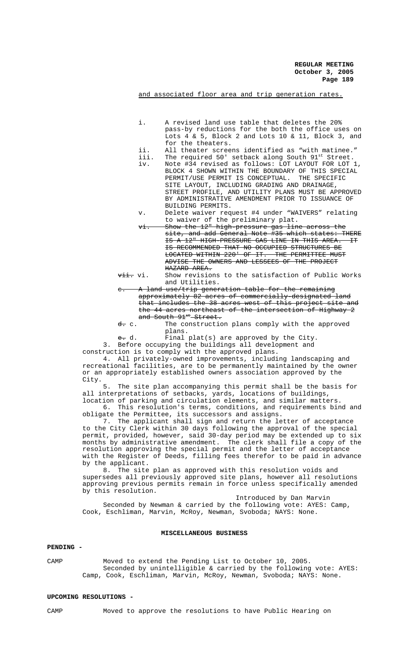and associated floor area and trip generation rates.

- i. A revised land use table that deletes the 20% pass-by reductions for the both the office uses on Lots 4 & 5, Block 2 and Lots 10 & 11, Block 3, and for the theaters.
- ii. All theater screens identified as "with matinee."
- iii. The required 50' setback along South 91st Street.
- iv. Note #34 revised as follows: LOT LAYOUT FOR LOT 1, BLOCK 4 SHOWN WITHIN THE BOUNDARY OF THIS SPECIAL PERMIT/USE PERMIT IS CONCEPTUAL. THE SPECIFIC SITE LAYOUT, INCLUDING GRADING AND DRAINAGE, STREET PROFILE, AND UTILITY PLANS MUST BE APPROVED BY ADMINISTRATIVE AMENDMENT PRIOR TO ISSUANCE OF BUILDING PERMITS.
- v. Delete waiver request #4 under "WAIVERS" relating to waiver of the preliminary plat.
- vi. Show the 12" high-pressure gas line across the site, and add General Note #35 which states: THERE IS A 12" HIGH-PRESSURE GAS LINE IN THIS AREA. IT IS RECOMMENDED THAT NO OCCUPIED STRUCTURES BE LOCATED WITHIN 220' OF IT. THE PERMITTEE MUST ADVISE THE OWNERS AND LESSEES OF THE PROJECT HAZARD AREA.
- vii. Show revisions to the satisfaction of Public Works and Utilities.
- A land use/trip generation table for the remaining approximately 82 acres of commercially-designated land that includes the 38 acres west of this project site and the 44 acres northeast of the intersection of Highway 2 and South 91st Street.
- d. c. The construction plans comply with the approved plans.
- e. d. Final plat(s) are approved by the City.
- 3. Before occupying the buildings all development and
- construction is to comply with the approved plans.

4. All privately-owned improvements, including landscaping and recreational facilities, are to be permanently maintained by the owner or an appropriately established owners association approved by the City.

5. The site plan accompanying this permit shall be the basis for all interpretations of setbacks, yards, locations of buildings, location of parking and circulation elements, and similar matters.

6. This resolution's terms, conditions, and requirements bind and obligate the Permittee, its successors and assigns.

7. The applicant shall sign and return the letter of acceptance to the City Clerk within 30 days following the approval of the special permit, provided, however, said 30-day period may be extended up to six months by administrative amendment. The clerk shall file a copy of the resolution approving the special permit and the letter of acceptance with the Register of Deeds, filling fees therefor to be paid in advance by the applicant.

8. The site plan as approved with this resolution voids and supersedes all previously approved site plans, however all resolutions approving previous permits remain in force unless specifically amended by this resolution.

Introduced by Dan Marvin Seconded by Newman & carried by the following vote: AYES: Camp, Cook, Eschliman, Marvin, McRoy, Newman, Svoboda; NAYS: None.

## **MISCELLANEOUS BUSINESS**

# **PENDING -**

CAMP Moved to extend the Pending List to October 10, 2005. Seconded by unintelligible & carried by the following vote: AYES: Camp, Cook, Eschliman, Marvin, McRoy, Newman, Svoboda; NAYS: None.

## **UPCOMING RESOLUTIONS -**

CAMP Moved to approve the resolutions to have Public Hearing on